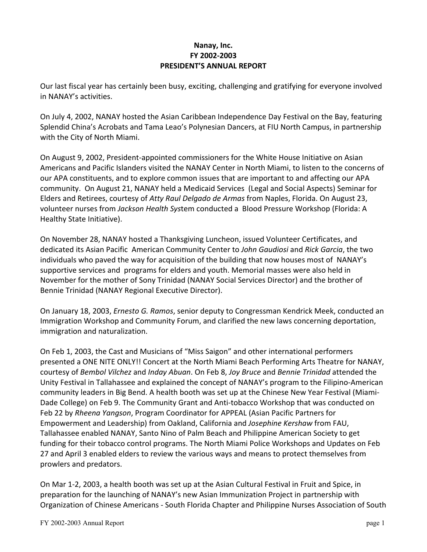### **Nanay, Inc. FY 2002-2003 PRESIDENT'S ANNUAL REPORT**

Our last fiscal year has certainly been busy, exciting, challenging and gratifying for everyone involved in NANAY's activities.

On July 4, 2002, NANAY hosted the Asian Caribbean Independence Day Festival on the Bay, featuring Splendid China's Acrobats and Tama Leao's Polynesian Dancers, at FIU North Campus, in partnership with the City of North Miami.

On August 9, 2002, President-appointed commissioners for the White House Initiative on Asian Americans and Pacific Islanders visited the NANAY Center in North Miami, to listen to the concerns of our APA constituents, and to explore common issues that are important to and affecting our APA community. On August 21, NANAY held a Medicaid Services (Legal and Social Aspects) Seminar for Elders and Retirees, courtesy of *Atty Raul Delgado de Armas* from Naples, Florida. On August 23, volunteer nurses from *Jackson Health Sys*tem conducted a Blood Pressure Workshop (Florida: A Healthy State Initiative).

On November 28, NANAY hosted a Thanksgiving Luncheon, issued Volunteer Certificates, and dedicated its Asian Pacific American Community Center to *John Gaudiosi* and *Rick Garcia*, the two individuals who paved the way for acquisition of the building that now houses most of NANAY's supportive services and programs for elders and youth. Memorial masses were also held in November for the mother of Sony Trinidad (NANAY Social Services Director) and the brother of Bennie Trinidad (NANAY Regional Executive Director).

On January 18, 2003, *Ernesto G. Ramos*, senior deputy to Congressman Kendrick Meek, conducted an Immigration Workshop and Community Forum, and clarified the new laws concerning deportation, immigration and naturalization.

On Feb 1, 2003, the Cast and Musicians of "Miss Saigon" and other international performers presented a ONE NITE ONLY!! Concert at the North Miami Beach Performing Arts Theatre for NANAY, courtesy of *Bembol Vilchez* and *Inday Abuan*. On Feb 8, *Joy Bruce* and *Bennie Trinidad* attended the Unity Festival in Tallahassee and explained the concept of NANAY's program to the Filipino-American community leaders in Big Bend. A health booth was set up at the Chinese New Year Festival (Miami-Dade College) on Feb 9. The Community Grant and Anti-tobacco Workshop that was conducted on Feb 22 by *Rheena Yangson*, Program Coordinator for APPEAL (Asian Pacific Partners for Empowerment and Leadership) from Oakland, California and *Josephine Kershaw* from FAU, Tallahassee enabled NANAY, Santo Nino of Palm Beach and Philippine American Society to get funding for their tobacco control programs. The North Miami Police Workshops and Updates on Feb 27 and April 3 enabled elders to review the various ways and means to protect themselves from prowlers and predators.

On Mar 1-2, 2003, a health booth was set up at the Asian Cultural Festival in Fruit and Spice, in preparation for the launching of NANAY's new Asian Immunization Project in partnership with Organization of Chinese Americans - South Florida Chapter and Philippine Nurses Association of South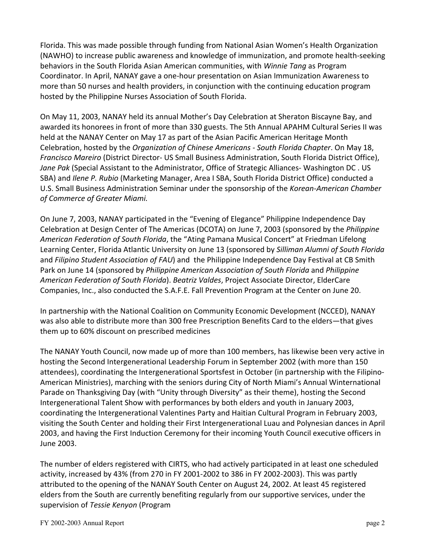Florida. This was made possible through funding from National Asian Women's Health Organization (NAWHO) to increase public awareness and knowledge of immunization, and promote health-seeking behaviors in the South Florida Asian American communities, with *Winnie Tang* as Program Coordinator. In April, NANAY gave a one-hour presentation on Asian Immunization Awareness to more than 50 nurses and health providers, in conjunction with the continuing education program hosted by the Philippine Nurses Association of South Florida.

On May 11, 2003, NANAY held its annual Mother's Day Celebration at Sheraton Biscayne Bay, and awarded its honorees in front of more than 330 guests. The 5th Annual APAHM Cultural Series II was held at the NANAY Center on May 17 as part of the Asian Pacific American Heritage Month Celebration, hosted by the *Organization of Chinese Americans - South Florida Chapter*. On May 18, *Francisco Mareiro* (District Director- US Small Business Administration, South Florida District Office), *Jane Pak* (Special Assistant to the Administrator, Office of Strategic Alliances- Washington DC . US SBA) and *Ilene P. Rubio* (Marketing Manager, Area I SBA, South Florida District Office) conducted a U.S. Small Business Administration Seminar under the sponsorship of the *Korean-American Chamber of Commerce of Greater Miami.*

On June 7, 2003, NANAY participated in the "Evening of Elegance" Philippine Independence Day Celebration at Design Center of The Americas (DCOTA) on June 7, 2003 (sponsored by the *Philippine American Federation of South Florida*, the "Ating Pamana Musical Concert" at Friedman Lifelong Learning Center, Florida Atlantic University on June 13 (sponsored by *Silliman Alumni of South Florida* and *Filipino Student Association of FAU*) and the Philippine Independence Day Festival at CB Smith Park on June 14 (sponsored by *Philippine American Association of South Florida* and *Philippine American Federation of South Florida*). *Beatriz Valdes*, Project Associate Director, ElderCare Companies, Inc., also conducted the S.A.F.E. Fall Prevention Program at the Center on June 20.

In partnership with the National Coalition on Community Economic Development (NCCED), NANAY was also able to distribute more than 300 free Prescription Benefits Card to the elders—that gives them up to 60% discount on prescribed medicines

The NANAY Youth Council, now made up of more than 100 members, has likewise been very active in hosting the Second Intergenerational Leadership Forum in September 2002 (with more than 150 attendees), coordinating the Intergenerational Sportsfest in October (in partnership with the Filipino-American Ministries), marching with the seniors during City of North Miami's Annual Winternational Parade on Thanksgiving Day (with "Unity through Diversity" as their theme), hosting the Second Intergenerational Talent Show with performances by both elders and youth in January 2003, coordinating the Intergenerational Valentines Party and Haitian Cultural Program in February 2003, visiting the South Center and holding their First Intergenerational Luau and Polynesian dances in April 2003, and having the First Induction Ceremony for their incoming Youth Council executive officers in June 2003.

The number of elders registered with CIRTS, who had actively participated in at least one scheduled activity, increased by 43% (from 270 in FY 2001-2002 to 386 in FY 2002-2003). This was partly attributed to the opening of the NANAY South Center on August 24, 2002. At least 45 registered elders from the South are currently benefiting regularly from our supportive services, under the supervision of *Tessie Kenyon* (Program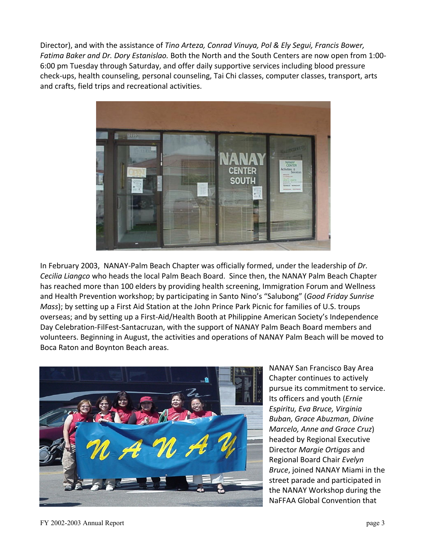Director), and with the assistance of *Tino Arteza, Conrad Vinuya, Pol & Ely Segui, Francis Bower, Fatima Baker and Dr. Dory Estanislao.* Both the North and the South Centers are now open from 1:00- 6:00 pm Tuesday through Saturday, and offer daily supportive services including blood pressure check-ups, health counseling, personal counseling, Tai Chi classes, computer classes, transport, arts and crafts, field trips and recreational activities.



In February 2003, NANAY-Palm Beach Chapter was officially formed, under the leadership of *Dr. Cecilia Liangco* who heads the local Palm Beach Board. Since then, the NANAY Palm Beach Chapter has reached more than 100 elders by providing health screening, Immigration Forum and Wellness and Health Prevention workshop; by participating in Santo Nino's "Salubong" (*Good Friday Sunrise Mass*); by setting up a First Aid Station at the John Prince Park Picnic for families of U.S. troups overseas; and by setting up a First-Aid/Health Booth at Philippine American Society's Independence Day Celebration-FilFest-Santacruzan, with the support of NANAY Palm Beach Board members and volunteers. Beginning in August, the activities and operations of NANAY Palm Beach will be moved to Boca Raton and Boynton Beach areas.



NANAY San Francisco Bay Area Chapter continues to actively pursue its commitment to service. Its officers and youth (*Ernie Espiritu, Eva Bruce, Virginia Buban, Grace Abuzman, Divine Marcelo, Anne and Grace Cruz*) headed by Regional Executive Director *Margie Ortigas* and Regional Board Chair *Evelyn Bruce*, joined NANAY Miami in the street parade and participated in the NANAY Workshop during the NaFFAA Global Convention that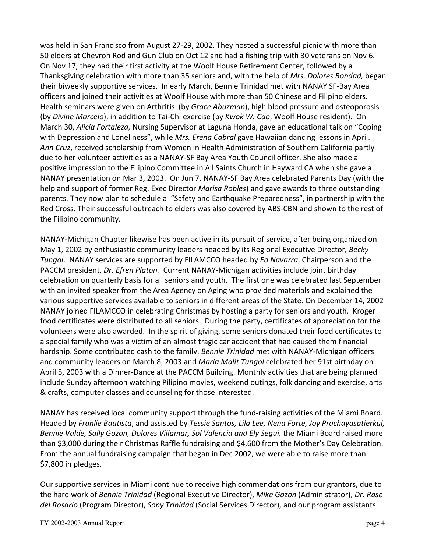was held in San Francisco from August 27-29, 2002. They hosted a successful picnic with more than 50 elders at Chevron Rod and Gun Club on Oct 12 and had a fishing trip with 30 veterans on Nov 6. On Nov 17, they had their first activity at the Woolf House Retirement Center, followed by a Thanksgiving celebration with more than 35 seniors and, with the help of *Mrs. Dolores Bondad,* began their biweekly supportive services. In early March, Bennie Trinidad met with NANAY SF-Bay Area officers and joined their activities at Woolf House with more than 50 Chinese and Filipino elders. Health seminars were given on Arthritis (by *Grace Abuzman*), high blood pressure and osteoporosis (by *Divine Marcelo*), in addition to Tai-Chi exercise (by *Kwok W. Cao*, Woolf House resident). On March 30, *Alicia Fortaleza,* Nursing Supervisor at Laguna Honda, gave an educational talk on "Coping with Depression and Loneliness", while *Mrs. Erena Cabral* gave Hawaiian dancing lessons in April. *Ann Cruz*, received scholarship from Women in Health Administration of Southern California partly due to her volunteer activities as a NANAY-SF Bay Area Youth Council officer. She also made a positive impression to the Filipino Committee in All Saints Church in Hayward CA when she gave a NANAY presentation on Mar 3, 2003. On Jun 7, NANAY-SF Bay Area celebrated Parents Day (with the help and support of former Reg. Exec Director *Marisa Robles*) and gave awards to three outstanding parents. They now plan to schedule a "Safety and Earthquake Preparedness", in partnership with the Red Cross. Their successful outreach to elders was also covered by ABS-CBN and shown to the rest of the Filipino community.

NANAY-Michigan Chapter likewise has been active in its pursuit of service, after being organized on May 1, 2002 by enthusiastic community leaders headed by its Regional Executive Director*, Becky Tungol*. NANAY services are supported by FILAMCCO headed by *Ed Navarra*, Chairperson and the PACCM president, *Dr. Efren Platon.* Current NANAY-Michigan activities include joint birthday celebration on quarterly basis for all seniors and youth. The first one was celebrated last September with an invited speaker from the Area Agency on Aging who provided materials and explained the various supportive services available to seniors in different areas of the State. On December 14, 2002 NANAY joined FILAMCCO in celebrating Christmas by hosting a party for seniors and youth. Kroger food certificates were distributed to all seniors. During the party, certificates of appreciation for the volunteers were also awarded. In the spirit of giving, some seniors donated their food certificates to a special family who was a victim of an almost tragic car accident that had caused them financial hardship. Some contributed cash to the family. *Bennie Trinidad* met with NANAY-Michigan officers and community leaders on March 8, 2003 and *Maria Malit Tungol* celebrated her 91st birthday on April 5, 2003 with a Dinner-Dance at the PACCM Building. Monthly activities that are being planned include Sunday afternoon watching Pilipino movies, weekend outings, folk dancing and exercise, arts & crafts, computer classes and counseling for those interested.

NANAY has received local community support through the fund-raising activities of the Miami Board. Headed by *Franlie Bautista*, and assisted by *Tessie Santos, Lila Lee, Nena Forte, Joy Prachayasatierkul, Bennie Valde, Sally Gozon, Dolores Villamar, Sol Valencia and Ely Segui,* the Miami Board raised more than \$3,000 during their Christmas Raffle fundraising and \$4,600 from the Mother's Day Celebration. From the annual fundraising campaign that began in Dec 2002, we were able to raise more than \$7,800 in pledges.

Our supportive services in Miami continue to receive high commendations from our grantors, due to the hard work of *Bennie Trinidad* (Regional Executive Director), *Mike Gozon* (Administrator), *Dr. Rose del Rosario* (Program Director), *Sony Trinidad* (Social Services Director), and our program assistants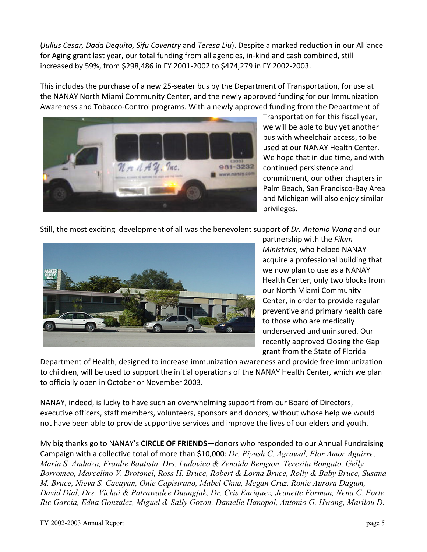(*Julius Cesar, Dada Dequito, Sifu Coventry* and *Teresa Liu*). Despite a marked reduction in our Alliance for Aging grant last year, our total funding from all agencies, in-kind and cash combined, still increased by 59%, from \$298,486 in FY 2001-2002 to \$474,279 in FY 2002-2003.

This includes the purchase of a new 25-seater bus by the Department of Transportation, for use at the NANAY North Miami Community Center, and the newly approved funding for our Immunization Awareness and Tobacco-Control programs. With a newly approved funding from the Department of



Transportation for this fiscal year, we will be able to buy yet another bus with wheelchair access, to be used at our NANAY Health Center. We hope that in due time, and with continued persistence and commitment, our other chapters in Palm Beach, San Francisco-Bay Area and Michigan will also enjoy similar privileges.

Still, the most exciting development of all was the benevolent support of *Dr. Antonio Wong* and our



partnership with the *Filam Ministries*, who helped NANAY acquire a professional building that we now plan to use as a NANAY Health Center, only two blocks from our North Miami Community Center, in order to provide regular preventive and primary health care to those who are medically underserved and uninsured. Our recently approved Closing the Gap grant from the State of Florida

Department of Health, designed to increase immunization awareness and provide free immunization to children, will be used to support the initial operations of the NANAY Health Center, which we plan to officially open in October or November 2003.

NANAY, indeed, is lucky to have such an overwhelming support from our Board of Directors, executive officers, staff members, volunteers, sponsors and donors, without whose help we would not have been able to provide supportive services and improve the lives of our elders and youth.

My big thanks go to NANAY's **CIRCLE OF FRIENDS**—donors who responded to our Annual Fundraising Campaign with a collective total of more than \$10,000: *Dr. Piyush C. Agrawal, Flor Amor Aguirre, Maria S. Anduiza, Franlie Bautista, Drs. Ludovico & Zenaida Bengson, Teresita Bongato, Gelly Borromeo, Marcelino V. Brotonel, Ross H. Bruce, Robert & Lorna Bruce, Rolly & Baby Bruce, Susana M. Bruce, Nieva S. Cacayan, Onie Capistrano, Mabel Chua, Megan Cruz, Ronie Aurora Dagum, David Dial, Drs. Vichai & Patrawadee Duangjak, Dr. Cris Enriquez, Jeanette Forman, Nena C. Forte, Ric Garcia, Edna Gonzalez, Miguel & Sally Gozon, Danielle Hanopol, Antonio G. Hwang, Marilou D.*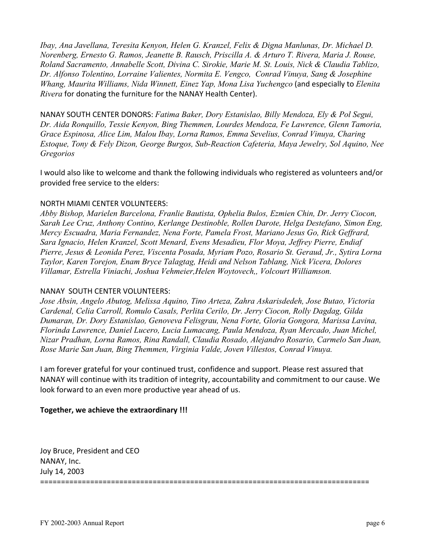*Ibay, Ana Javellana, Teresita Kenyon, Helen G. Kranzel, Felix & Digna Manlunas, Dr. Michael D. Norenberg, Ernesto G. Ramos, Jeanette B. Rausch, Priscilla A. & Arturo T. Rivera, Maria J. Rouse, Roland Sacramento, Annabelle Scott, Divina C. Sirokie, Marie M. St. Louis, Nick & Claudia Tablizo, Dr. Alfonso Tolentino, Lorraine Valientes, Normita E. Vengco, Conrad Vinuya, Sang & Josephine Whang, Maurita Williams, Nida Winnett, Einez Yap, Mona Lisa Yuchengco* (and especially to *Elenita Rivera* for donating the furniture for the NANAY Health Center).

NANAY SOUTH CENTER DONORS: *Fatima Baker, Dory Estanislao, Billy Mendoza, Ely & Pol Segui, Dr. Aida Ronquillo, Tessie Kenyon, Bing Themmen, Lourdes Mendoza, Fe Lawrence, Glenn Tamoria, Grace Espinosa, Alice Lim, Malou Ibay, Lorna Ramos, Emma Sevelius, Conrad Vinuya, Charing Estoque, Tony & Fely Dizon, George Burgos, Sub-Reaction Cafeteria, Maya Jewelry, Sol Aquino, Nee Gregorios*

I would also like to welcome and thank the following individuals who registered as volunteers and/or provided free service to the elders:

#### NORTH MIAMI CENTER VOLUNTEERS:

*Abby Bishop, Marielen Barcelona, Franlie Bautista, Ophelia Bulos, Ezmien Chin, Dr. Jerry Ciocon, Sarah Lee Cruz, Anthony Contino, Kerlange Destinoble, Rollen Darote, Helga Destefano, Simon Eng, Mercy Escuadra, Maria Fernandez, Nena Forte, Pamela Frost, Mariano Jesus Go, Rick Geffrard, Sara Ignacio, Helen Kranzel, Scott Menard, Evens Mesadieu, Flor Moya, Jeffrey Pierre, Endiaf Pierre, Jesus & Leonida Perez, Viscenta Posada, Myriam Pozo, Rosario St. Geraud, Jr., Sytira Lorna Taylor, Karen Torejon, Enam Bryce Talagtag, Heidi and Nelson Tablang, Nick Vicera, Dolores Villamar, Estrella Viniachi, Joshua Vehmeier,Helen Woytovech,, Volcourt Williamson.*

#### NANAY SOUTH CENTER VOLUNTEERS:

*Jose Absin, Angelo Abutog, Melissa Aquino, Tino Arteza, Zahra Askarisdedeh, Jose Butao, Victoria Cardenal, Celia Carroll, Romulo Casals, Perlita Cerilo, Dr. Jerry Ciocon, Rolly Dagdag, Gilda Dumaran, Dr. Dory Estanislao, Genoveva Felisgrau, Nena Forte, Gloria Gongora, Marissa Lavina, Florinda Lawrence, Daniel Lucero, Lucia Lumacang, Paula Mendoza, Ryan Mercado, Juan Michel, Nizar Pradhan, Lorna Ramos, Rina Randall, Claudia Rosado, Alejandro Rosario, Carmelo San Juan, Rose Marie San Juan, Bing Themmen, Virginia Valde, Joven Villestos, Conrad Vinuya.* 

I am forever grateful for your continued trust, confidence and support. Please rest assured that NANAY will continue with its tradition of integrity, accountability and commitment to our cause. We look forward to an even more productive year ahead of us.

### **Together, we achieve the extraordinary !!!**

Joy Bruce, President and CEO NANAY, Inc. July 14, 2003 ===============================================================================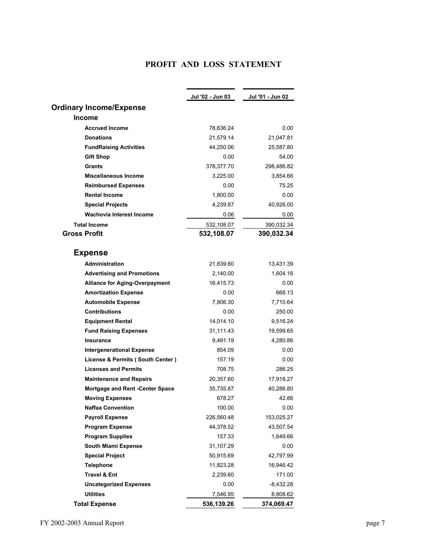# **PROFIT AND LOSS STATEMENT**

|                                        | Jul '02 - Jun 03 | Jul '01 - Jun 02 |
|----------------------------------------|------------------|------------------|
| <b>Ordinary Income/Expense</b>         |                  |                  |
| <b>Income</b>                          |                  |                  |
| <b>Accrued Income</b>                  | 78,636.24        | 0.00             |
| <b>Donations</b>                       | 21,579.14        | 21,047.81        |
| <b>FundRaising Activities</b>          | 44,250.06        | 25,587.80        |
| Gift Shop                              | 0.00             | 54.00            |
| <b>Grants</b>                          | 378,377.70       | 298,486.82       |
| <b>Miscellaneous Income</b>            | 3,225.00         | 3,854.66         |
| <b>Reimbursed Expenses</b>             | 0.00             | 75.25            |
| <b>Rental Income</b>                   | 1,800.00         | 0.00             |
| <b>Special Projects</b>                | 4,239.87         | 40,926.00        |
| Wachovia Interest Income               | 0.06             | 0.00             |
| <b>Total Income</b>                    | 532,108.07       | 390,032.34       |
| <b>Gross Profit</b>                    | 532,108.07       | 390,032.34       |
|                                        |                  |                  |
| <b>Expense</b>                         |                  |                  |
| <b>Administration</b>                  | 21,839.60        | 13,431.39        |
| <b>Advertising and Promotions</b>      | 2,140.00         | 1,604.16         |
| <b>Alliance for Aging-Overpayment</b>  | 16,415.73        | 0.00             |
| <b>Amortization Expense</b>            | 0.00             | 668.13           |
| <b>Automobile Expense</b>              | 7,806.30         | 7,710.64         |
| <b>Contributions</b>                   | 0.00             | 250.00           |
| <b>Equipment Rental</b>                | 14,014.10        | 9,516.24         |
| <b>Fund Raising Expenses</b>           | 31,111.43        | 19,599.65        |
| <b>Insurance</b>                       | 9,491.19         | 4,280.86         |
| <b>Intergenerational Expense</b>       | 854.09           | 0.00             |
| License & Permits (South Center)       | 157.19           | 0.00             |
| <b>Licenses and Permits</b>            | 708.75           | 286.25           |
| <b>Maintenance and Repairs</b>         | 20,357.60        | 17,918.27        |
| <b>Mortgage and Rent -Center Space</b> | 35,735.87        | 40,286.80        |
| <b>Moving Expenses</b>                 | 678.27           | 42.86            |
| <b>Naffaa Convention</b>               | 100.00           | 0.00             |
| <b>Payroll Expense</b>                 | 226,560.48       | 153,025.27       |
| <b>Program Expense</b>                 | 44,378.52        | 43,507.54        |
| <b>Program Supplies</b>                | 157.33           | 1,649.66         |
| <b>South Miami Expense</b>             | 31,107.29        | 0.00             |
| <b>Special Project</b>                 | 50,915.69        | 42,797.99        |
| <b>Telephone</b>                       | 11,823.28        | 16,946.42        |
| <b>Travel &amp; Ent</b>                | 2,239.60         | 171.00           |
| <b>Uncategorized Expenses</b>          | 0.00             | $-8,432.28$      |
| <b>Utilities</b>                       | 7,546.95         | 8,808.62         |
| <b>Total Expense</b>                   | 536,139.26       | 374,069.47       |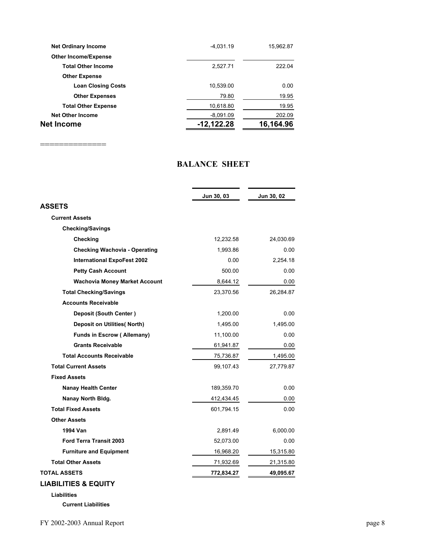| <b>Net Ordinary Income</b>  | $-4,031.19$  | 15,962.87 |
|-----------------------------|--------------|-----------|
| <b>Other Income/Expense</b> |              |           |
| <b>Total Other Income</b>   | 2,527.71     | 222.04    |
| <b>Other Expense</b>        |              |           |
| <b>Loan Closing Costs</b>   | 10,539.00    | 0.00      |
| <b>Other Expenses</b>       | 79.80        | 19.95     |
| <b>Total Other Expense</b>  | 10,618.80    | 19.95     |
| <b>Net Other Income</b>     | $-8,091.09$  | 202.09    |
| Net Income                  | $-12,122.28$ | 16,164.96 |
|                             |              |           |

==================

## **BALANCE SHEET**

|                                      | Jun 30, 03 | Jun 30, 02 |  |
|--------------------------------------|------------|------------|--|
| ASSETS                               |            |            |  |
| <b>Current Assets</b>                |            |            |  |
| <b>Checking/Savings</b>              |            |            |  |
| Checking                             | 12,232.58  | 24,030.69  |  |
| <b>Checking Wachovia - Operating</b> | 1,993.86   | 0.00       |  |
| <b>International ExpoFest 2002</b>   | 0.00       | 2,254.18   |  |
| <b>Petty Cash Account</b>            | 500.00     | 0.00       |  |
| <b>Wachovia Money Market Account</b> | 8,644.12   | 0.00       |  |
| <b>Total Checking/Savings</b>        | 23,370.56  | 26,284.87  |  |
| <b>Accounts Receivable</b>           |            |            |  |
| <b>Deposit (South Center)</b>        | 1,200.00   | 0.00       |  |
| <b>Deposit on Utilities(North)</b>   | 1,495.00   | 1,495.00   |  |
| <b>Funds in Escrow (Allemany)</b>    | 11,100.00  | 0.00       |  |
| <b>Grants Receivable</b>             | 61,941.87  | 0.00       |  |
| <b>Total Accounts Receivable</b>     | 75,736.87  | 1.495.00   |  |
| <b>Total Current Assets</b>          | 99,107.43  | 27,779.87  |  |
| <b>Fixed Assets</b>                  |            |            |  |
| <b>Nanay Health Center</b>           | 189,359.70 | 0.00       |  |
| Nanay North Bldg.                    | 412,434.45 | 0.00       |  |
| <b>Total Fixed Assets</b>            | 601,794.15 | 0.00       |  |
| <b>Other Assets</b>                  |            |            |  |
| 1994 Van                             | 2,891.49   | 6,000.00   |  |
| <b>Ford Terra Transit 2003</b>       | 52,073.00  | 0.00       |  |
| <b>Furniture and Equipment</b>       | 16,968.20  | 15,315.80  |  |
| <b>Total Other Assets</b>            | 71,932.69  | 21,315.80  |  |
| TOTAL ASSETS                         | 772,834.27 | 49,095.67  |  |
| <b>LIABILITIES &amp; EQUITY</b>      |            |            |  |

**Liabilities**

**Current Liabilities**